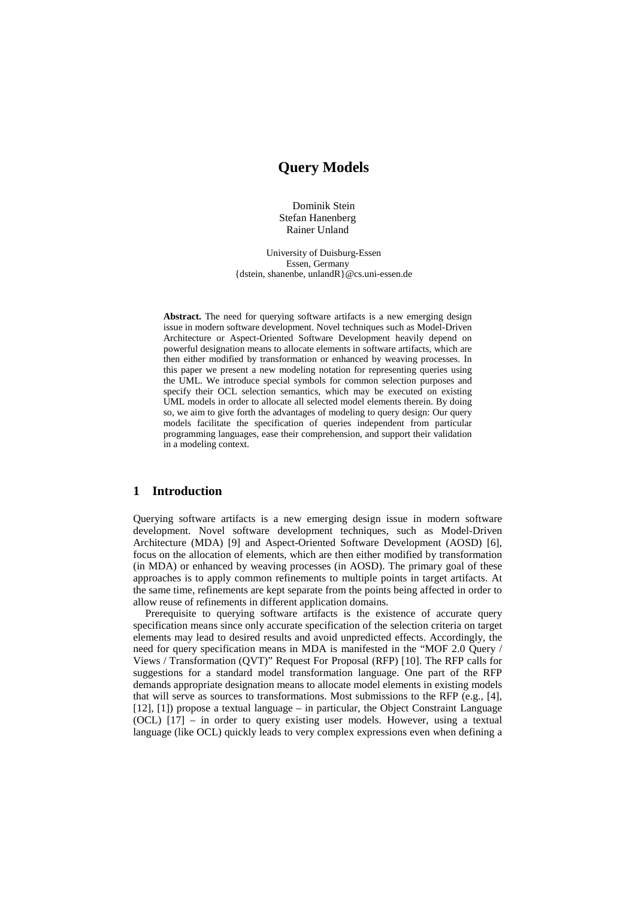# **Query Models**

Dominik Stein Stefan Hanenberg Rainer Unland

University of Duisburg-Essen Essen, Germany {dstein, shanenbe, unlandR}@cs.uni-essen.de

**Abstract.** The need for querying software artifacts is a new emerging design issue in modern software development. Novel techniques such as Model-Driven Architecture or Aspect-Oriented Software Development heavily depend on powerful designation means to allocate elements in software artifacts, which are then either modified by transformation or enhanced by weaving processes. In this paper we present a new modeling notation for representing queries using the UML. We introduce special symbols for common selection purposes and specify their OCL selection semantics, which may be executed on existing UML models in order to allocate all selected model elements therein. By doing so, we aim to give forth the advantages of modeling to query design: Our query models facilitate the specification of queries independent from particular programming languages, ease their comprehension, and support their validation in a modeling context.

### **1 Introduction**

Querying software artifacts is a new emerging design issue in modern software development. Novel software development techniques, such as Model-Driven Architecture (MDA) [9] and Aspect-Oriented Software Development (AOSD) [6], focus on the allocation of elements, which are then either modified by transformation (in MDA) or enhanced by weaving processes (in AOSD). The primary goal of these approaches is to apply common refinements to multiple points in target artifacts. At the same time, refinements are kept separate from the points being affected in order to allow reuse of refinements in different application domains.

Prerequisite to querying software artifacts is the existence of accurate query specification means since only accurate specification of the selection criteria on target elements may lead to desired results and avoid unpredicted effects. Accordingly, the need for query specification means in MDA is manifested in the "MOF 2.0 Query / Views / Transformation (QVT)" Request For Proposal (RFP) [10]. The RFP calls for suggestions for a standard model transformation language. One part of the RFP demands appropriate designation means to allocate model elements in existing models that will serve as sources to transformations. Most submissions to the RFP (e.g., [4], [12], [1]) propose a textual language – in particular, the Object Constraint Language (OCL) [17] – in order to query existing user models. However, using a textual language (like OCL) quickly leads to very complex expressions even when defining a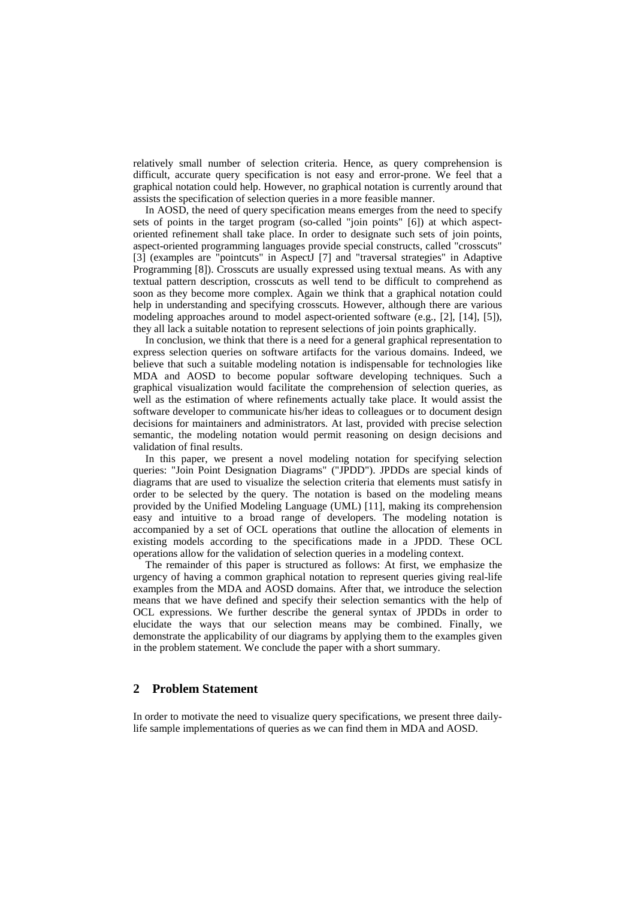relatively small number of selection criteria. Hence, as query comprehension is difficult, accurate query specification is not easy and error-prone. We feel that a graphical notation could help. However, no graphical notation is currently around that assists the specification of selection queries in a more feasible manner.

In AOSD, the need of query specification means emerges from the need to specify sets of points in the target program (so-called "join points" [6]) at which aspectoriented refinement shall take place. In order to designate such sets of join points, aspect-oriented programming languages provide special constructs, called "crosscuts" [3] (examples are "pointcuts" in AspectJ [7] and "traversal strategies" in Adaptive Programming [8]). Crosscuts are usually expressed using textual means. As with any textual pattern description, crosscuts as well tend to be difficult to comprehend as soon as they become more complex. Again we think that a graphical notation could help in understanding and specifying crosscuts. However, although there are various modeling approaches around to model aspect-oriented software (e.g., [2], [14], [5]), they all lack a suitable notation to represent selections of join points graphically.

In conclusion, we think that there is a need for a general graphical representation to express selection queries on software artifacts for the various domains. Indeed, we believe that such a suitable modeling notation is indispensable for technologies like MDA and AOSD to become popular software developing techniques. Such a graphical visualization would facilitate the comprehension of selection queries, as well as the estimation of where refinements actually take place. It would assist the software developer to communicate his/her ideas to colleagues or to document design decisions for maintainers and administrators. At last, provided with precise selection semantic, the modeling notation would permit reasoning on design decisions and validation of final results.

In this paper, we present a novel modeling notation for specifying selection queries: "Join Point Designation Diagrams" ("JPDD"). JPDDs are special kinds of diagrams that are used to visualize the selection criteria that elements must satisfy in order to be selected by the query. The notation is based on the modeling means provided by the Unified Modeling Language (UML) [11], making its comprehension easy and intuitive to a broad range of developers. The modeling notation is accompanied by a set of OCL operations that outline the allocation of elements in existing models according to the specifications made in a JPDD. These OCL operations allow for the validation of selection queries in a modeling context.

The remainder of this paper is structured as follows: At first, we emphasize the urgency of having a common graphical notation to represent queries giving real-life examples from the MDA and AOSD domains. After that, we introduce the selection means that we have defined and specify their selection semantics with the help of OCL expressions. We further describe the general syntax of JPDDs in order to elucidate the ways that our selection means may be combined. Finally, we demonstrate the applicability of our diagrams by applying them to the examples given in the problem statement. We conclude the paper with a short summary.

### **2 Problem Statement**

In order to motivate the need to visualize query specifications, we present three dailylife sample implementations of queries as we can find them in MDA and AOSD.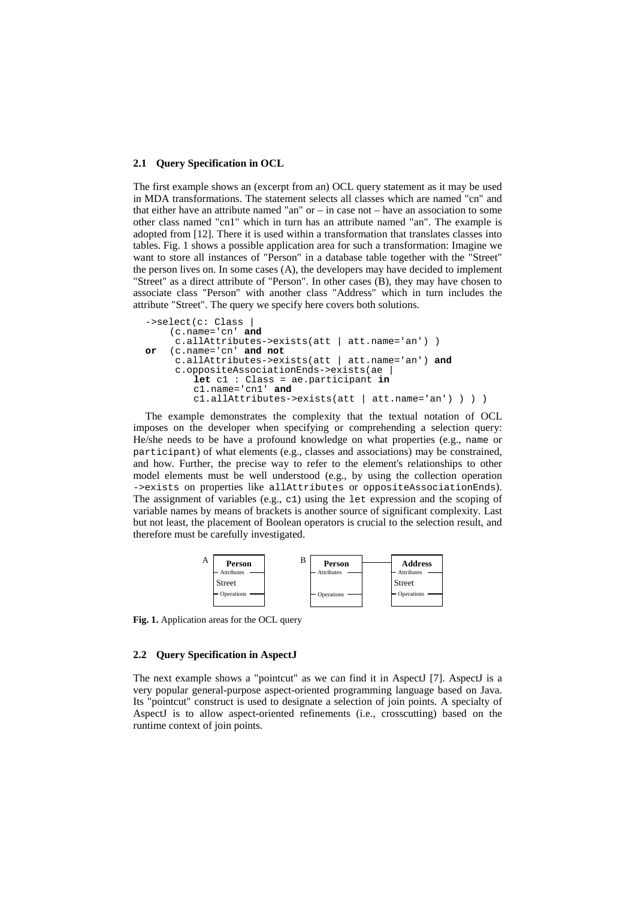#### **2.1 Query Specification in OCL**

The first example shows an (excerpt from an) OCL query statement as it may be used in MDA transformations. The statement selects all classes which are named "cn" and that either have an attribute named "an" or  $-$  in case not  $-$  have an association to some other class named "cn1" which in turn has an attribute named "an". The example is adopted from [12]. There it is used within a transformation that translates classes into tables. Fig. 1 shows a possible application area for such a transformation: Imagine we want to store all instances of "Person" in a database table together with the "Street" the person lives on. In some cases (A), the developers may have decided to implement "Street" as a direct attribute of "Person". In other cases (B), they may have chosen to associate class "Person" with another class "Address" which in turn includes the attribute "Street". The query we specify here covers both solutions.

```
->select(c: Class |
    (c.name='cn' and
      c.allAttributes->exists(att | att.name='an') )
or (c.name='cn' and not
      c.allAttributes->exists(att | att.name='an') and
      c.oppositeAssociationEnds->exists(ae |
        let c1 : Class = ae.participant in
        c1.name='cn1' and
        c1.allAttributes->exists(att | att.name='an') ) ) )
```
The example demonstrates the complexity that the textual notation of OCL imposes on the developer when specifying or comprehending a selection query: He/she needs to be have a profound knowledge on what properties (e.g., name or participant) of what elements (e.g., classes and associations) may be constrained, and how. Further, the precise way to refer to the element's relationships to other model elements must be well understood (e.g., by using the collection operation ->exists on properties like allAttributes or oppositeAssociationEnds). The assignment of variables (e.g., c1) using the let expression and the scoping of variable names by means of brackets is another source of significant complexity. Last but not least, the placement of Boolean operators is crucial to the selection result, and therefore must be carefully investigated.



**Fig. 1.** Application areas for the OCL query

#### **2.2 Query Specification in AspectJ**

The next example shows a "pointcut" as we can find it in AspectJ [7]. AspectJ is a very popular general-purpose aspect-oriented programming language based on Java. Its "pointcut" construct is used to designate a selection of join points. A specialty of AspectJ is to allow aspect-oriented refinements (i.e., crosscutting) based on the runtime context of join points.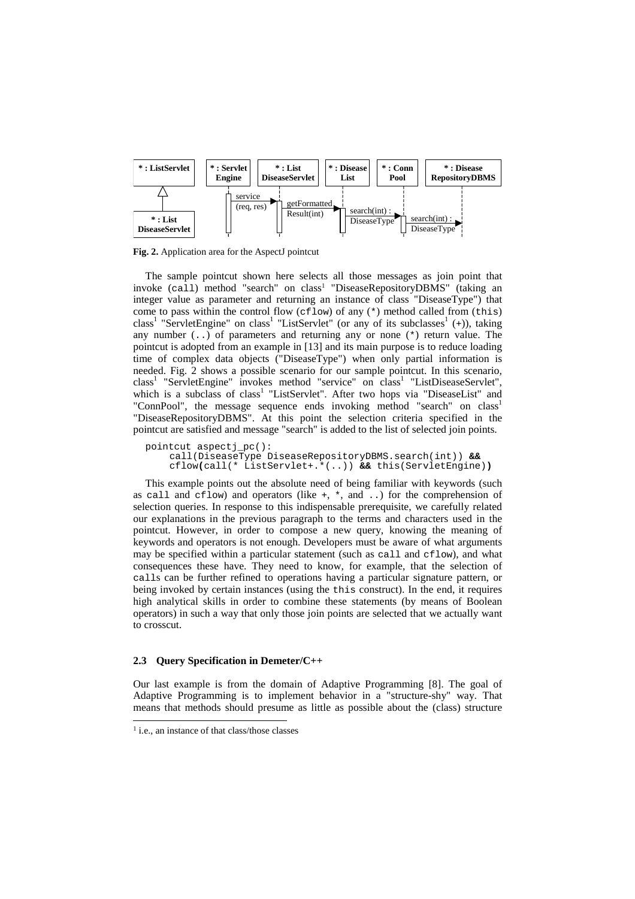

**Fig. 2.** Application area for the AspectJ pointcut

The sample pointcut shown here selects all those messages as join point that invoke (call) method "search" on class<sup>1</sup> "DiseaseRepositoryDBMS" (taking an integer value as parameter and returning an instance of class "DiseaseType") that come to pass within the control flow ( $cf$ low) of any ( $\star$ ) method called from ( $this$ ) class<sup>1</sup> "ServletEngine" on class<sup>1</sup> "ListServlet" (or any of its subclasses<sup>1</sup> (+)), taking any number  $( \cdot, )$  of parameters and returning any or none  $(* )$  return value. The pointcut is adopted from an example in [13] and its main purpose is to reduce loading time of complex data objects ("DiseaseType") when only partial information is needed. Fig. 2 shows a possible scenario for our sample pointcut. In this scenario, class<sup>1</sup> "ServletEngine" invokes method "service" on class<sup>1</sup> "ListDiseaseServlet", which is a subclass of class<sup>1</sup> "ListServlet". After two hops via "DiseaseList" and "ConnPool", the message sequence ends invoking method "search" on class<sup>1</sup> "DiseaseRepositoryDBMS". At this point the selection criteria specified in the pointcut are satisfied and message "search" is added to the list of selected join points.

```
pointcut aspectj pc():
    call(DiseaseType DiseaseRepositoryDBMS.search(int)) &&
    cflow(call(* ListServlet+.*(..)) && this(ServletEngine))
```
This example points out the absolute need of being familiar with keywords (such as call and  $cflow$  and operators (like  $+$ ,  $*$ , and ...) for the comprehension of selection queries. In response to this indispensable prerequisite, we carefully related our explanations in the previous paragraph to the terms and characters used in the pointcut. However, in order to compose a new query, knowing the meaning of keywords and operators is not enough. Developers must be aware of what arguments may be specified within a particular statement (such as call and cflow), and what consequences these have. They need to know, for example, that the selection of calls can be further refined to operations having a particular signature pattern, or being invoked by certain instances (using the this construct). In the end, it requires high analytical skills in order to combine these statements (by means of Boolean operators) in such a way that only those join points are selected that we actually want to crosscut.

#### **2.3 Query Specification in Demeter/C++**

Our last example is from the domain of Adaptive Programming [8]. The goal of Adaptive Programming is to implement behavior in a "structure-shy" way. That means that methods should presume as little as possible about the (class) structure

l

<sup>1</sup> i.e., an instance of that class/those classes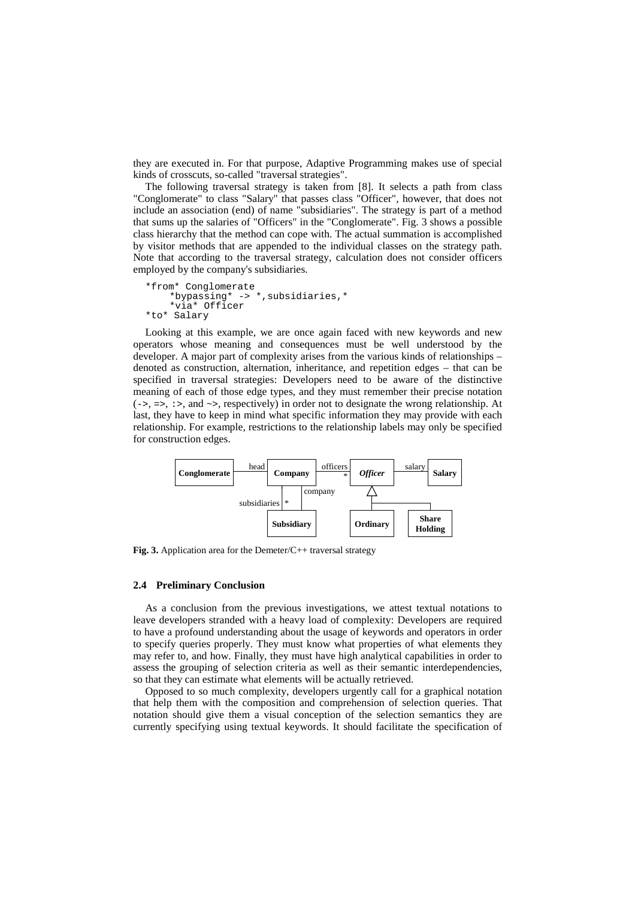they are executed in. For that purpose, Adaptive Programming makes use of special kinds of crosscuts, so-called "traversal strategies".

The following traversal strategy is taken from [8]. It selects a path from class "Conglomerate" to class "Salary" that passes class "Officer", however, that does not include an association (end) of name "subsidiaries". The strategy is part of a method that sums up the salaries of "Officers" in the "Conglomerate". Fig. 3 shows a possible class hierarchy that the method can cope with. The actual summation is accomplished by visitor methods that are appended to the individual classes on the strategy path. Note that according to the traversal strategy, calculation does not consider officers employed by the company's subsidiaries.

```
*from* Conglomerate
    *bypassing* -> *,subsidiaries,*
    *via* Officer
*to* Salary
```
Looking at this example, we are once again faced with new keywords and new operators whose meaning and consequences must be well understood by the developer. A major part of complexity arises from the various kinds of relationships – denoted as construction, alternation, inheritance, and repetition edges – that can be specified in traversal strategies: Developers need to be aware of the distinctive meaning of each of those edge types, and they must remember their precise notation  $(-\infty, \infty, \infty)$ , respectively) in order not to designate the wrong relationship. At last, they have to keep in mind what specific information they may provide with each relationship. For example, restrictions to the relationship labels may only be specified for construction edges.



**Fig. 3.** Application area for the Demeter/C++ traversal strategy

#### **2.4 Preliminary Conclusion**

As a conclusion from the previous investigations, we attest textual notations to leave developers stranded with a heavy load of complexity: Developers are required to have a profound understanding about the usage of keywords and operators in order to specify queries properly. They must know what properties of what elements they may refer to, and how. Finally, they must have high analytical capabilities in order to assess the grouping of selection criteria as well as their semantic interdependencies, so that they can estimate what elements will be actually retrieved.

Opposed to so much complexity, developers urgently call for a graphical notation that help them with the composition and comprehension of selection queries. That notation should give them a visual conception of the selection semantics they are currently specifying using textual keywords. It should facilitate the specification of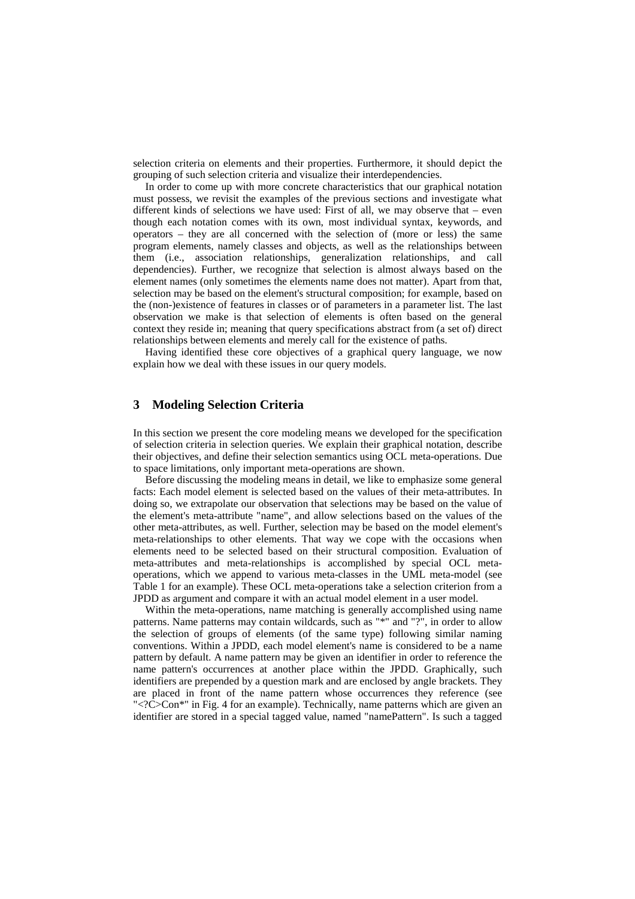selection criteria on elements and their properties. Furthermore, it should depict the grouping of such selection criteria and visualize their interdependencies.

In order to come up with more concrete characteristics that our graphical notation must possess, we revisit the examples of the previous sections and investigate what different kinds of selections we have used: First of all, we may observe that – even though each notation comes with its own, most individual syntax, keywords, and operators – they are all concerned with the selection of (more or less) the same program elements, namely classes and objects, as well as the relationships between them (i.e., association relationships, generalization relationships, and call dependencies). Further, we recognize that selection is almost always based on the element names (only sometimes the elements name does not matter). Apart from that, selection may be based on the element's structural composition; for example, based on the (non-)existence of features in classes or of parameters in a parameter list. The last observation we make is that selection of elements is often based on the general context they reside in; meaning that query specifications abstract from (a set of) direct relationships between elements and merely call for the existence of paths.

Having identified these core objectives of a graphical query language, we now explain how we deal with these issues in our query models.

## **3 Modeling Selection Criteria**

In this section we present the core modeling means we developed for the specification of selection criteria in selection queries. We explain their graphical notation, describe their objectives, and define their selection semantics using OCL meta-operations. Due to space limitations, only important meta-operations are shown.

Before discussing the modeling means in detail, we like to emphasize some general facts: Each model element is selected based on the values of their meta-attributes. In doing so, we extrapolate our observation that selections may be based on the value of the element's meta-attribute "name", and allow selections based on the values of the other meta-attributes, as well. Further, selection may be based on the model element's meta-relationships to other elements. That way we cope with the occasions when elements need to be selected based on their structural composition. Evaluation of meta-attributes and meta-relationships is accomplished by special OCL metaoperations, which we append to various meta-classes in the UML meta-model (see Table 1 for an example). These OCL meta-operations take a selection criterion from a JPDD as argument and compare it with an actual model element in a user model.

Within the meta-operations, name matching is generally accomplished using name patterns. Name patterns may contain wildcards, such as "\*" and "?", in order to allow the selection of groups of elements (of the same type) following similar naming conventions. Within a JPDD, each model element's name is considered to be a name pattern by default. A name pattern may be given an identifier in order to reference the name pattern's occurrences at another place within the JPDD. Graphically, such identifiers are prepended by a question mark and are enclosed by angle brackets. They are placed in front of the name pattern whose occurrences they reference (see "<?C>Con\*" in Fig. 4 for an example). Technically, name patterns which are given an identifier are stored in a special tagged value, named "namePattern". Is such a tagged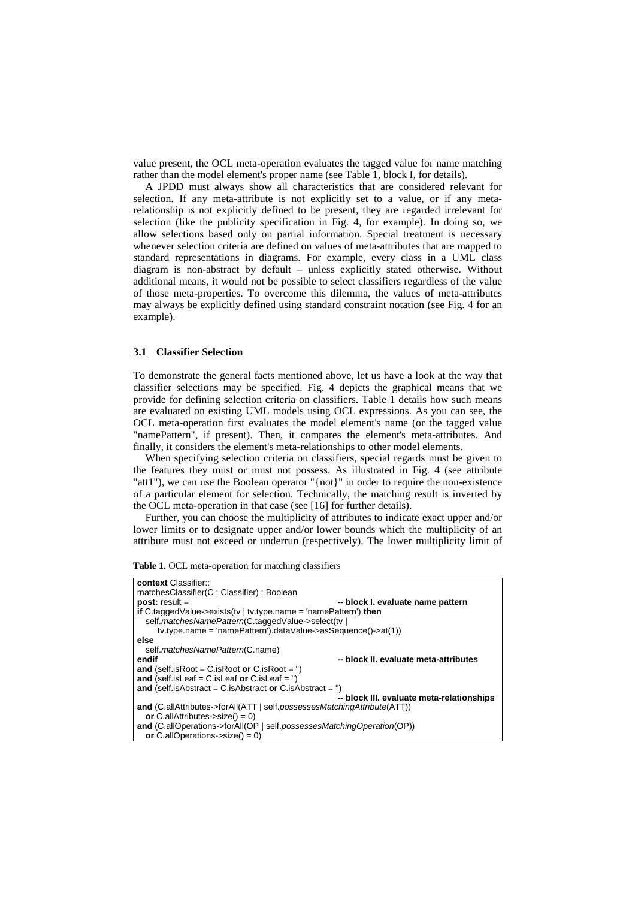value present, the OCL meta-operation evaluates the tagged value for name matching rather than the model element's proper name (see Table 1, block I, for details).

A JPDD must always show all characteristics that are considered relevant for selection. If any meta-attribute is not explicitly set to a value, or if any metarelationship is not explicitly defined to be present, they are regarded irrelevant for selection (like the publicity specification in Fig. 4, for example). In doing so, we allow selections based only on partial information. Special treatment is necessary whenever selection criteria are defined on values of meta-attributes that are mapped to standard representations in diagrams. For example, every class in a UML class diagram is non-abstract by default – unless explicitly stated otherwise. Without additional means, it would not be possible to select classifiers regardless of the value of those meta-properties. To overcome this dilemma, the values of meta-attributes may always be explicitly defined using standard constraint notation (see Fig. 4 for an example).

#### **3.1 Classifier Selection**

To demonstrate the general facts mentioned above, let us have a look at the way that classifier selections may be specified. Fig. 4 depicts the graphical means that we provide for defining selection criteria on classifiers. Table 1 details how such means are evaluated on existing UML models using OCL expressions. As you can see, the OCL meta-operation first evaluates the model element's name (or the tagged value "namePattern", if present). Then, it compares the element's meta-attributes. And finally, it considers the element's meta-relationships to other model elements.

When specifying selection criteria on classifiers, special regards must be given to the features they must or must not possess. As illustrated in Fig. 4 (see attribute "att1"), we can use the Boolean operator "{not}" in order to require the non-existence of a particular element for selection. Technically, the matching result is inverted by the OCL meta-operation in that case (see [16] for further details).

Further, you can choose the multiplicity of attributes to indicate exact upper and/or lower limits or to designate upper and/or lower bounds which the multiplicity of an attribute must not exceed or underrun (respectively). The lower multiplicity limit of

**Table 1.** OCL meta-operation for matching classifiers

| context Classifier::                                                     |
|--------------------------------------------------------------------------|
| matchesClassifier(C : Classifier) : Boolean                              |
| -- block I. evaluate name pattern<br>$post: result =$                    |
| if C.taggedValue->exists(tv   tv.type.name = 'namePattern') then         |
| self.matchesNamePattern(C.taggedValue->select(tv                         |
| $tv.type.name = 'namePattern'.dataValue > asSequence() > at(1))$         |
| else                                                                     |
| self. <i>matchesNamePattern</i> (C.name)                                 |
| -- block II. evaluate meta-attributes<br>endif                           |
| and (self.isRoot = $C.isRoot$ or $C.isRoot = ")$                         |
| and (self.is Leaf = $C$ .is Leaf or $C$ .is Leaf = ")                    |
| and (self.isAbstract = $C.isAbstract$ or $C.isAbstract$ = ")             |
| -- block III. evaluate meta-relationships                                |
| and (C.allAttributes->forAll(ATT   self.possessesMatchingAttribute(ATT)) |
| or C.allAttributes- $\text{size}() = 0$                                  |
| and (C.allOperations->forAll(OP   self.possessesMatchingOperation(OP))   |
| or C.allOperations- $\text{size}() = 0$                                  |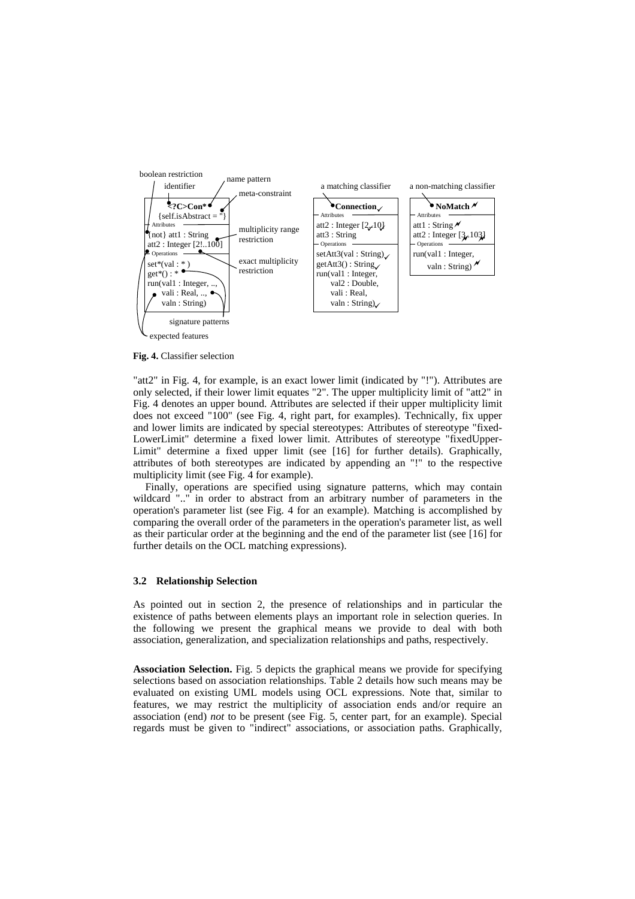

**Fig. 4.** Classifier selection

"att2" in Fig. 4, for example, is an exact lower limit (indicated by "!"). Attributes are only selected, if their lower limit equates "2". The upper multiplicity limit of "att2" in Fig. 4 denotes an upper bound. Attributes are selected if their upper multiplicity limit does not exceed "100" (see Fig. 4, right part, for examples). Technically, fix upper and lower limits are indicated by special stereotypes: Attributes of stereotype "fixed-LowerLimit" determine a fixed lower limit. Attributes of stereotype "fixedUpper-Limit" determine a fixed upper limit (see [16] for further details). Graphically, attributes of both stereotypes are indicated by appending an "!" to the respective multiplicity limit (see Fig. 4 for example).

Finally, operations are specified using signature patterns, which may contain wildcard ".." in order to abstract from an arbitrary number of parameters in the operation's parameter list (see Fig. 4 for an example). Matching is accomplished by comparing the overall order of the parameters in the operation's parameter list, as well as their particular order at the beginning and the end of the parameter list (see [16] for further details on the OCL matching expressions).

### **3.2 Relationship Selection**

As pointed out in section 2, the presence of relationships and in particular the existence of paths between elements plays an important role in selection queries. In the following we present the graphical means we provide to deal with both association, generalization, and specialization relationships and paths, respectively.

**Association Selection.** Fig. 5 depicts the graphical means we provide for specifying selections based on association relationships. Table 2 details how such means may be evaluated on existing UML models using OCL expressions. Note that, similar to features, we may restrict the multiplicity of association ends and/or require an association (end) *not* to be present (see Fig. 5, center part, for an example). Special regards must be given to "indirect" associations, or association paths. Graphically,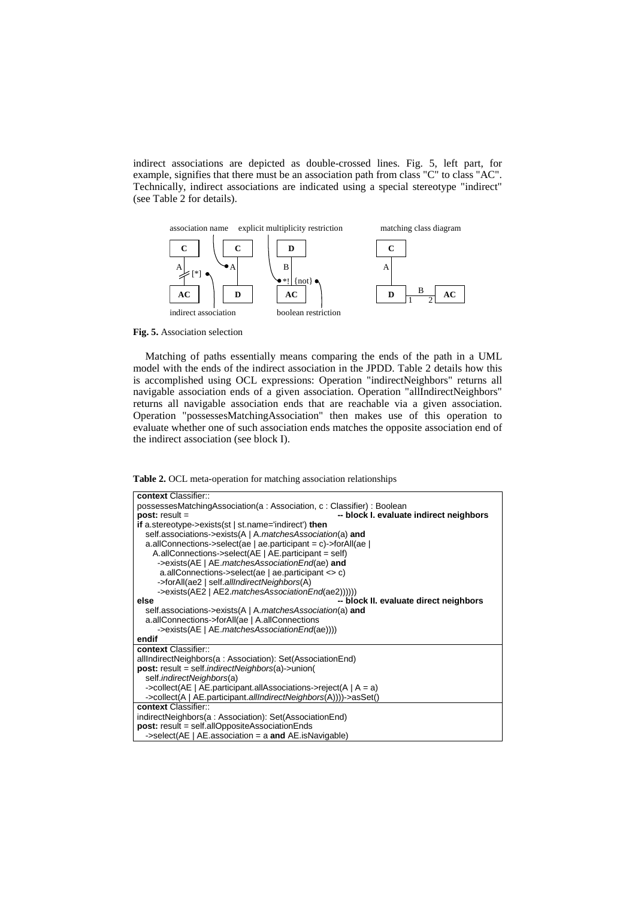indirect associations are depicted as double-crossed lines. Fig. 5, left part, for example, signifies that there must be an association path from class "C" to class "AC". Technically, indirect associations are indicated using a special stereotype "indirect" (see Table 2 for details).



**Fig. 5.** Association selection

Matching of paths essentially means comparing the ends of the path in a UML model with the ends of the indirect association in the JPDD. Table 2 details how this is accomplished using OCL expressions: Operation "indirectNeighbors" returns all navigable association ends of a given association. Operation "allIndirectNeighbors" returns all navigable association ends that are reachable via a given association. Operation "possessesMatchingAssociation" then makes use of this operation to evaluate whether one of such association ends matches the opposite association end of the indirect association (see block I).

**Table 2.** OCL meta-operation for matching association relationships

| context Classifier::                                                     |
|--------------------------------------------------------------------------|
| possessesMatchingAssociation(a: Association, c: Classifier): Boolean     |
| -- block I. evaluate indirect neighbors<br>$post: result =$              |
| if a.stereotype- $\geq$ exists(st   st.name= $\subseteq$ indirect') then |
| self.associations->exists(A   A.matchesAssociation(a) and                |
| a.allConnections- $\ge$ select(ae   ae.participant = c)- $\ge$ forAll(ae |
| A.allConnections- $\gt$ select(AE   AE.participant = self)               |
| ->exists(AE   AE.matchesAssociationEnd(ae) and                           |
| a.allConnections->select(ae   ae.participant <> c)                       |
| ->forAll(ae2   self.allIndirectNeighbors(A)                              |
| ->exists(AE2   AE2.matchesAssociationEnd(ae2))))))                       |
| else<br>-- block II. evaluate direct neighbors                           |
| self.associations->exists(A   A.matchesAssociation(a) and                |
| a.allConnections->forAll(ae   A.allConnections                           |
| ->exists(AE   AE.matchesAssociationEnd(ae))))                            |
| endif                                                                    |
| context Classifier::                                                     |
| allIndirectNeighbors(a: Association): Set(AssociationEnd)                |
| <b>post:</b> result = self. <i>indirectNeighbors(a)-&gt;union(</i>       |
| self.indirectNeighbors(a)                                                |
| ->collect( $AE$   AE.participant.allAssociations->reject( $A$   A = a)   |
| ->collect(A   AE.participant.allIndirectNeighbors(A))))->asSet()         |
| context Classifier::                                                     |
| indirectNeighbors(a: Association): Set(AssociationEnd)                   |
| <b>post:</b> result = self.allOppositeAssociationEnds                    |
| ->select( $AE$   AE association = a and $AE$ is Navigable)               |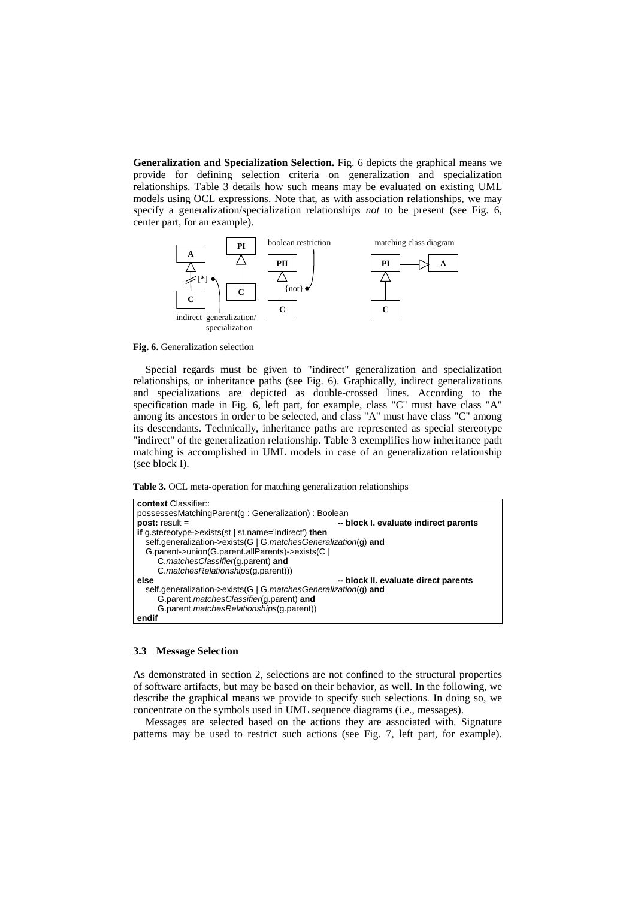**Generalization and Specialization Selection.** Fig. 6 depicts the graphical means we provide for defining selection criteria on generalization and specialization relationships. Table 3 details how such means may be evaluated on existing UML models using OCL expressions. Note that, as with association relationships, we may specify a generalization/specialization relationships *not* to be present (see Fig. 6, center part, for an example).



**Fig. 6.** Generalization selection

Special regards must be given to "indirect" generalization and specialization relationships, or inheritance paths (see Fig. 6). Graphically, indirect generalizations and specializations are depicted as double-crossed lines. According to the specification made in Fig. 6, left part, for example, class "C" must have class "A" among its ancestors in order to be selected, and class "A" must have class "C" among its descendants. Technically, inheritance paths are represented as special stereotype "indirect" of the generalization relationship. Table 3 exemplifies how inheritance path matching is accomplished in UML models in case of an generalization relationship (see block I).

**Table 3.** OCL meta-operation for matching generalization relationships

```
context Classifier::
possessesMatchingParent(g : Generalization) : Boolean<br>post: result = -
                                                  - block I. evaluate indirect parents
if g.stereotype->exists(st | st.name='indirect') then
 self.generalization->exists(G | G.matchesGeneralization(g) and
  G.parent->union(G.parent.allParents)->exists(C |
     C.matchesClassifier(g.parent) and
     C.matchesRelationships(g.parent)))
else -- block II. evaluate direct parents
  self.generalization->exists(G | G.matchesGeneralization(g) and
     G.parent.matchesClassifier(g.parent) and
     G.parent.matchesRelationships(g.parent))
endif
```
#### **3.3 Message Selection**

As demonstrated in section 2, selections are not confined to the structural properties of software artifacts, but may be based on their behavior, as well. In the following, we describe the graphical means we provide to specify such selections. In doing so, we concentrate on the symbols used in UML sequence diagrams (i.e., messages).

Messages are selected based on the actions they are associated with. Signature patterns may be used to restrict such actions (see Fig. 7, left part, for example).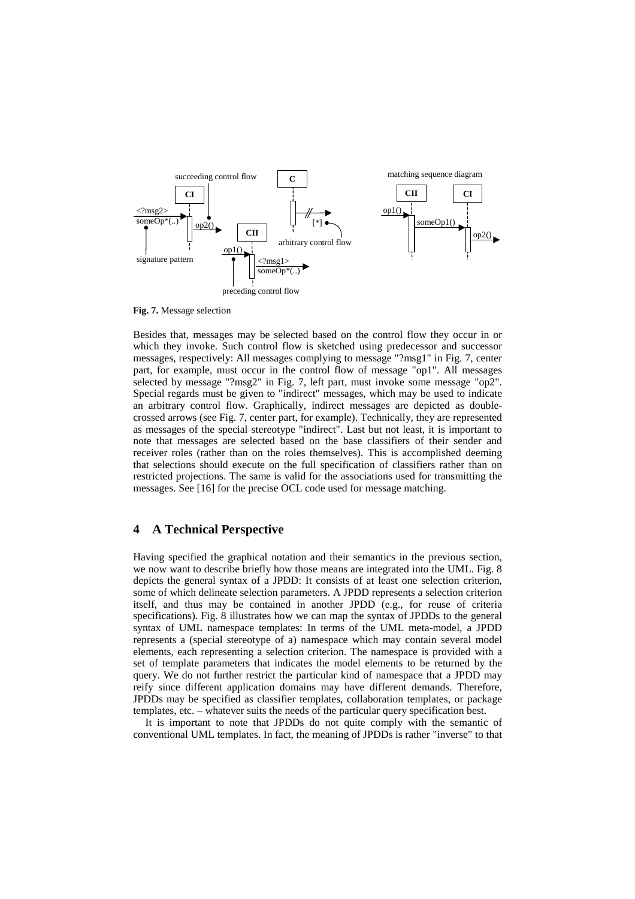

**Fig. 7.** Message selection

Besides that, messages may be selected based on the control flow they occur in or which they invoke. Such control flow is sketched using predecessor and successor messages, respectively: All messages complying to message "?msg1" in Fig. 7, center part, for example, must occur in the control flow of message "op1". All messages selected by message "?msg2" in Fig. 7, left part, must invoke some message "op2". Special regards must be given to "indirect" messages, which may be used to indicate an arbitrary control flow. Graphically, indirect messages are depicted as doublecrossed arrows (see Fig. 7, center part, for example). Technically, they are represented as messages of the special stereotype "indirect". Last but not least, it is important to note that messages are selected based on the base classifiers of their sender and receiver roles (rather than on the roles themselves). This is accomplished deeming that selections should execute on the full specification of classifiers rather than on restricted projections. The same is valid for the associations used for transmitting the messages. See [16] for the precise OCL code used for message matching.

### **4 A Technical Perspective**

Having specified the graphical notation and their semantics in the previous section, we now want to describe briefly how those means are integrated into the UML. Fig. 8 depicts the general syntax of a JPDD: It consists of at least one selection criterion, some of which delineate selection parameters. A JPDD represents a selection criterion itself, and thus may be contained in another JPDD (e.g., for reuse of criteria specifications). Fig. 8 illustrates how we can map the syntax of JPDDs to the general syntax of UML namespace templates: In terms of the UML meta-model, a JPDD represents a (special stereotype of a) namespace which may contain several model elements, each representing a selection criterion. The namespace is provided with a set of template parameters that indicates the model elements to be returned by the query. We do not further restrict the particular kind of namespace that a JPDD may reify since different application domains may have different demands. Therefore, JPDDs may be specified as classifier templates, collaboration templates, or package templates, etc. – whatever suits the needs of the particular query specification best.

It is important to note that JPDDs do not quite comply with the semantic of conventional UML templates. In fact, the meaning of JPDDs is rather "inverse" to that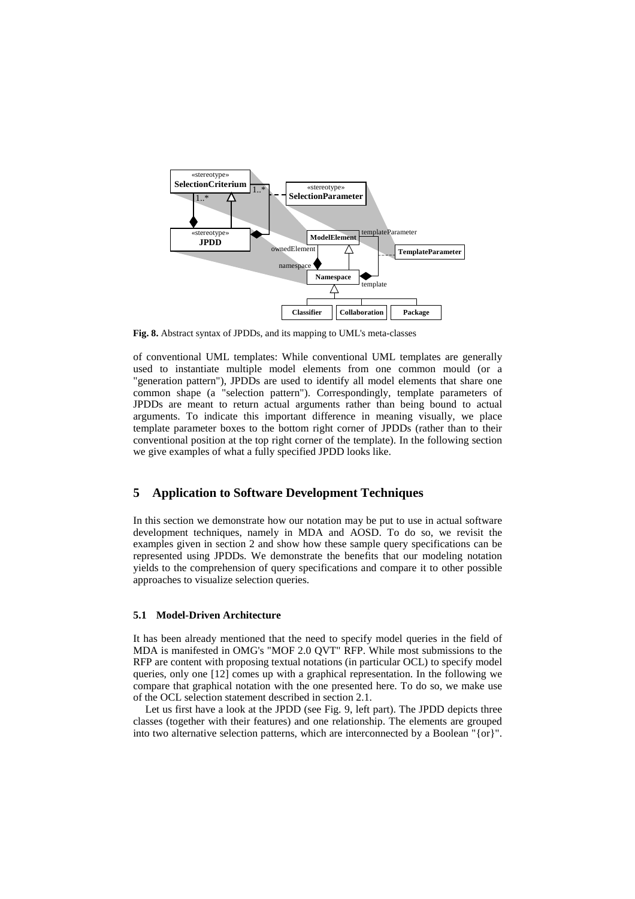

**Fig. 8.** Abstract syntax of JPDDs, and its mapping to UML's meta-classes

of conventional UML templates: While conventional UML templates are generally used to instantiate multiple model elements from one common mould (or a "generation pattern"), JPDDs are used to identify all model elements that share one common shape (a "selection pattern"). Correspondingly, template parameters of JPDDs are meant to return actual arguments rather than being bound to actual arguments. To indicate this important difference in meaning visually, we place template parameter boxes to the bottom right corner of JPDDs (rather than to their conventional position at the top right corner of the template). In the following section we give examples of what a fully specified JPDD looks like.

## **5 Application to Software Development Techniques**

In this section we demonstrate how our notation may be put to use in actual software development techniques, namely in MDA and AOSD. To do so, we revisit the examples given in section 2 and show how these sample query specifications can be represented using JPDDs. We demonstrate the benefits that our modeling notation yields to the comprehension of query specifications and compare it to other possible approaches to visualize selection queries.

### **5.1 Model-Driven Architecture**

It has been already mentioned that the need to specify model queries in the field of MDA is manifested in OMG's "MOF 2.0 QVT" RFP. While most submissions to the RFP are content with proposing textual notations (in particular OCL) to specify model queries, only one [12] comes up with a graphical representation. In the following we compare that graphical notation with the one presented here. To do so, we make use of the OCL selection statement described in section 2.1.

Let us first have a look at the JPDD (see Fig. 9, left part). The JPDD depicts three classes (together with their features) and one relationship. The elements are grouped into two alternative selection patterns, which are interconnected by a Boolean "{or}".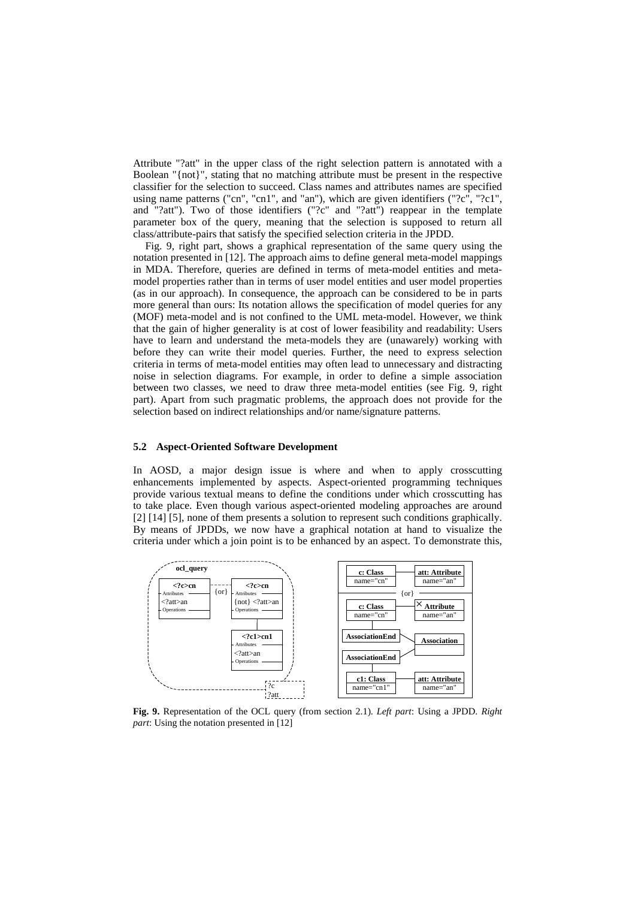Attribute "?att" in the upper class of the right selection pattern is annotated with a Boolean "{not}", stating that no matching attribute must be present in the respective classifier for the selection to succeed. Class names and attributes names are specified using name patterns ("cn", "cn1", and "an"), which are given identifiers ("?c", "?c1", and "?att"). Two of those identifiers ("?c" and "?att") reappear in the template parameter box of the query, meaning that the selection is supposed to return all class/attribute-pairs that satisfy the specified selection criteria in the JPDD.

Fig. 9, right part, shows a graphical representation of the same query using the notation presented in [12]. The approach aims to define general meta-model mappings in MDA. Therefore, queries are defined in terms of meta-model entities and metamodel properties rather than in terms of user model entities and user model properties (as in our approach). In consequence, the approach can be considered to be in parts more general than ours: Its notation allows the specification of model queries for any (MOF) meta-model and is not confined to the UML meta-model. However, we think that the gain of higher generality is at cost of lower feasibility and readability: Users have to learn and understand the meta-models they are (unawarely) working with before they can write their model queries. Further, the need to express selection criteria in terms of meta-model entities may often lead to unnecessary and distracting noise in selection diagrams. For example, in order to define a simple association between two classes, we need to draw three meta-model entities (see Fig. 9, right part). Apart from such pragmatic problems, the approach does not provide for the selection based on indirect relationships and/or name/signature patterns.

#### **5.2 Aspect-Oriented Software Development**

In AOSD, a major design issue is where and when to apply crosscutting enhancements implemented by aspects. Aspect-oriented programming techniques provide various textual means to define the conditions under which crosscutting has to take place. Even though various aspect-oriented modeling approaches are around [2] [14] [5], none of them presents a solution to represent such conditions graphically. By means of JPDDs, we now have a graphical notation at hand to visualize the criteria under which a join point is to be enhanced by an aspect. To demonstrate this,



**Fig. 9.** Representation of the OCL query (from section 2.1). *Left part*: Using a JPDD. *Right part*: Using the notation presented in [12]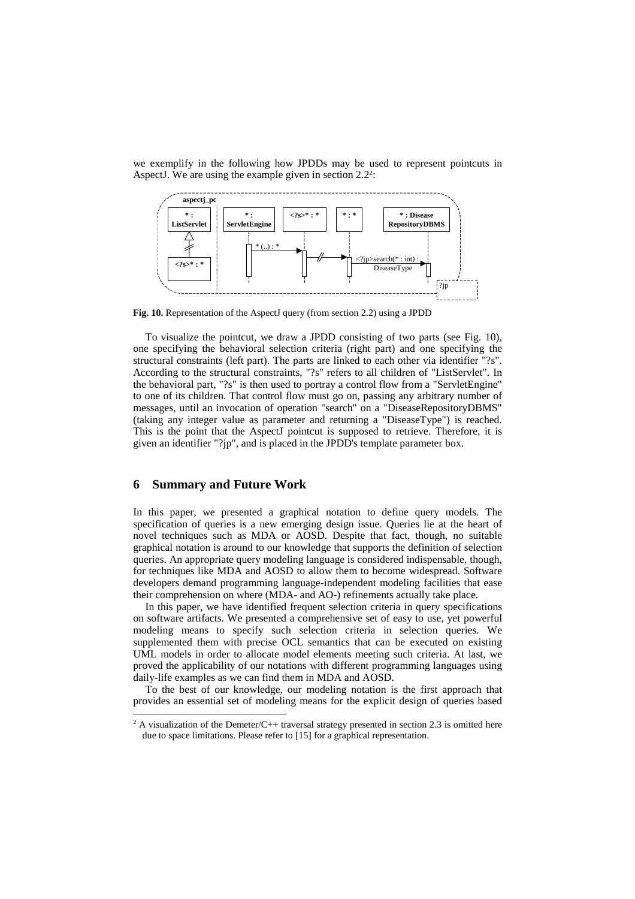we exemplify in the following how JPDDs may be used to represent pointcuts in AspectJ. We are using the example given in section 2.2<sup>2</sup>:



**Fig. 10.** Representation of the AspectJ query (from section 2.2) using a JPDD

To visualize the pointcut, we draw a JPDD consisting of two parts (see Fig. 10), one specifying the behavioral selection criteria (right part) and one specifying the structural constraints (left part). The parts are linked to each other via identifier "?s". According to the structural constraints, "?s" refers to all children of "ListServlet". In the behavioral part, "?s" is then used to portray a control flow from a "ServletEngine" to one of its children. That control flow must go on, passing any arbitrary number of messages, until an invocation of operation "search" on a "DiseaseRepositoryDBMS" (taking any integer value as parameter and returning a "DiseaseType") is reached. This is the point that the AspectJ pointcut is supposed to retrieve. Therefore, it is given an identifier "?jp", and is placed in the JPDD's template parameter box.

# **6 Summary and Future Work**

-

In this paper, we presented a graphical notation to define query models. The specification of queries is a new emerging design issue. Queries lie at the heart of novel techniques such as MDA or AOSD. Despite that fact, though, no suitable graphical notation is around to our knowledge that supports the definition of selection queries. An appropriate query modeling language is considered indispensable, though, for techniques like MDA and AOSD to allow them to become widespread. Software developers demand programming language-independent modeling facilities that ease their comprehension on where (MDA- and AO-) refinements actually take place.

In this paper, we have identified frequent selection criteria in query specifications on software artifacts. We presented a comprehensive set of easy to use, yet powerful modeling means to specify such selection criteria in selection queries. We supplemented them with precise OCL semantics that can be executed on existing UML models in order to allocate model elements meeting such criteria. At last, we proved the applicability of our notations with different programming languages using daily-life examples as we can find them in MDA and AOSD.

To the best of our knowledge, our modeling notation is the first approach that provides an essential set of modeling means for the explicit design of queries based

<sup>&</sup>lt;sup>2</sup> A visualization of the Demeter/C++ traversal strategy presented in section 2.3 is omitted here due to space limitations. Please refer to [15] for a graphical representation.